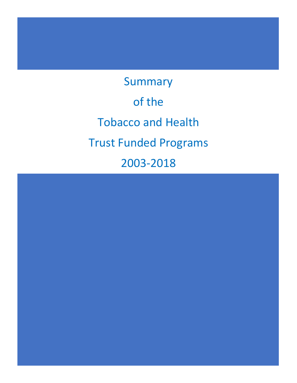Summary of the Tobacco and Health Trust Funded Programs 2003-2018

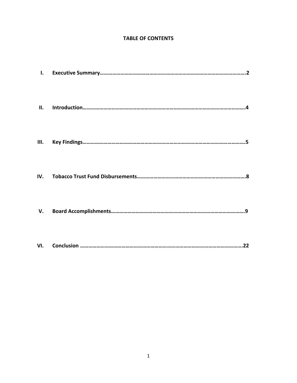# **TABLE OF CONTENTS**

| $\mathbf{L}$ |  |
|--------------|--|
| II.          |  |
|              |  |
| IV.          |  |
| V.           |  |
| VI.          |  |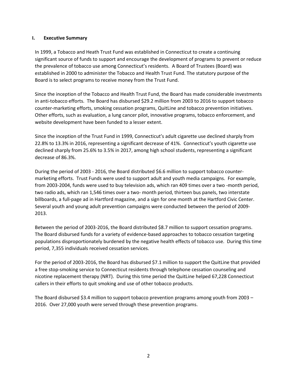#### **I. Executive Summary**

In 1999, a Tobacco and Heath Trust Fund was established in Connecticut to create a continuing significant source of funds to support and encourage the development of programs to prevent or reduce the prevalence of tobacco use among Connecticut's residents. A Board of Trustees (Board) was established in 2000 to administer the Tobacco and Health Trust Fund. The statutory purpose of the Board is to select programs to receive money from the Trust Fund.

Since the inception of the Tobacco and Health Trust Fund, the Board has made considerable investments in anti-tobacco efforts. The Board has disbursed \$29.2 million from 2003 to 2016 to support tobacco counter-marketing efforts, smoking cessation programs, QuitLine and tobacco prevention initiatives. Other efforts, such as evaluation, a lung cancer pilot, innovative programs, tobacco enforcement, and website development have been funded to a lesser extent.

Since the inception of the Trust Fund in 1999, Connecticut's adult cigarette use declined sharply from 22.8% to 13.3% in 2016, representing a significant decrease of 41%. Connecticut's youth cigarette use declined sharply from 25.6% to 3.5% in 2017, among high school students, representing a significant decrease of 86.3%.

During the period of 2003 - 2016, the Board distributed \$6.6 million to support tobacco countermarketing efforts. Trust Funds were used to support adult and youth media campaigns. For example, from 2003-2004, funds were used to buy television ads, which ran 409 times over a two -month period, two radio ads, which ran 1,546 times over a two- month period, thirteen bus panels, two interstate billboards, a full-page ad in Hartford magazine, and a sign for one month at the Hartford Civic Center. Several youth and young adult prevention campaigns were conducted between the period of 2009- 2013.

Between the period of 2003-2016, the Board distributed \$8.7 million to support cessation programs. The Board disbursed funds for a variety of evidence-based approaches to tobacco cessation targeting populations disproportionately burdened by the negative health effects of tobacco use. During this time period, 7,355 individuals received cessation services.

For the period of 2003-2016, the Board has disbursed \$7.1 million to support the QuitLine that provided a free stop-smoking service to Connecticut residents through telephone cessation counseling and nicotine replacement therapy (NRT). During this time period the QuitLine helped 67,228 Connecticut callers in their efforts to quit smoking and use of other tobacco products.

The Board disbursed \$3.4 million to support tobacco prevention programs among youth from 2003 – 2016. Over 27,000 youth were served through these prevention programs.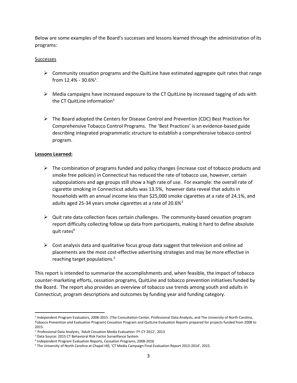Below are some examples of the Board's successes and lessons learned through the administration of its programs:

#### Successes

- $\triangleright$  Community cessation programs and the QuitLine have estimated aggregate quit rates that range from 12.4% - 30.6%<sup>1</sup>.
- $\triangleright$  Media campaigns have increased exposure to the CT QuitLine by increased tagging of ads with the CT QuitLine information<sup>2</sup>
- $\triangleright$  The Board adopted the Centers for Disease Control and Prevention (CDC) Best Practices for Comprehensive Tobacco Control Programs. The 'Best Practices' is an evidence-based guide describing integrated programmatic structure to establish a comprehensive tobacco control program.

### **Lessons Learned:**

 $\overline{\phantom{a}}$ 

- $\triangleright$  The combination of programs funded and policy changes (increase cost of tobacco products and smoke free policies) in Connecticut has reduced the rate of tobacco use, however, certain subpopulations and age groups still show a high rate of use. For example: the overall rate of cigarette smoking in Connecticut adults was 13.5%, however data reveal that adults in households with an annual income less than \$25,000 smoke cigarettes at a rate of 24.1%, and adults aged 25-34 years smoke cigarettes at a rate of  $20.6\%$ <sup>3</sup>
- $\triangleright$  Quit rate data collection faces certain challenges. The community-based cessation program report difficulty collecting follow up data from participants, making it hard to define absolute quit rates $4$
- $\triangleright$  Cost analysis data and qualitative focus group data suggest that television and online ad placements are the most cost-effective advertising strategies and may be more effective in reaching target populations. 5

This report is intended to summarize the accomplishments and, when feasible, the impact of tobacco counter-marketing efforts, cessation programs, QuitLine and tobacco prevention initiatives funded by the Board. The report also provides an overview of tobacco use trends among youth and adults in Connecticut, program descriptions and outcomes by funding year and funding category.

<sup>1</sup> Independent Program Evaluators, 2008-2015. (The Consultation Center, Professional Data Analysts, and The University of North Carolina, Tobacco Prevention and Evaluation Program) Cessation Program and QuitLine Evaluation Reports prepared for projects funded from 2008 to 2015.

<sup>2</sup> Professional Data Analysts, 'Adult Cessation Media Evaluation: FY-CY 2012', 2013

<sup>3</sup> Data Source: 2015 CT Behavioral Risk Factor Surveillance System

<sup>4</sup> Independent Program Evaluation Reports, Cessation Programs, 2008-2016

<sup>5</sup> The University of North Carolina at Chapel Hill, 'CT Media Campaign Final Evaluation Report 2013-2014', 2015.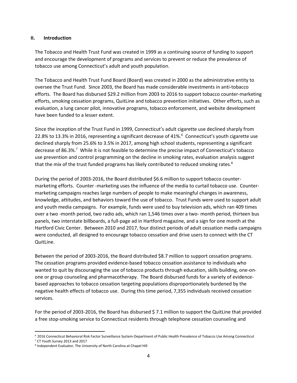#### **II. Introduction**

The Tobacco and Health Trust Fund was created in 1999 as a continuing source of funding to support and encourage the development of programs and services to prevent or reduce the prevalence of tobacco use among Connecticut's adult and youth population.

The Tobacco and Health Trust Fund Board (Board) was created in 2000 as the administrative entity to oversee the Trust Fund. Since 2003, the Board has made considerable investments in anti-tobacco efforts. The Board has disbursed \$29.2 million from 2003 to 2016 to support tobacco counter-marketing efforts, smoking cessation programs, QuitLine and tobacco prevention initiatives. Other efforts, such as evaluation, a lung cancer pilot, innovative programs, tobacco enforcement, and website development have been funded to a lesser extent.

Since the inception of the Trust Fund in 1999, Connecticut's adult cigarette use declined sharply from 22.8% to 13.3% in 2016, representing a significant decrease of 41%.<sup>6</sup> Connecticut's youth cigarette use declined sharply from 25.6% to 3.5% in 2017, among high school students, representing a significant decrease of 86.3%.<sup>7</sup> While it is not feasible to determine the precise impact of Connecticut's tobacco use prevention and control programming on the decline in smoking rates, evaluation analysis suggest that the mix of the trust funded programs has likely contributed to reduced smoking rates.<sup>8</sup>

During the period of 2003-2016, the Board distributed \$6.6 million to support tobacco countermarketing efforts. Counter -marketing uses the influence of the media to curtail tobacco use. Countermarketing campaigns reaches large numbers of people to make meaningful changes in awareness, knowledge, attitudes, and behaviors toward the use of tobacco. Trust Funds were used to support adult and youth media campaigns. For example, funds were used to buy television ads, which ran 409 times over a two -month period, two radio ads, which ran 1,546 times over a two- month period, thirteen bus panels, two interstate billboards, a full-page ad in Hartford magazine, and a sign for one month at the Hartford Civic Center. Between 2010 and 2017, four distinct periods of adult cessation media campaigns were conducted, all designed to encourage tobacco cessation and drive users to connect with the CT QuitLine.

Between the period of 2003-2016, the Board distributed \$8.7 million to support cessation programs. The cessation programs provided evidence-based tobacco cessation assistance to individuals who wanted to quit by discouraging the use of tobacco products through education, skills building, one-onone or group counseling and pharmacotherapy. The Board disbursed funds for a variety of evidencebased approaches to tobacco cessation targeting populations disproportionately burdened by the negative health effects of tobacco use. During this time period, 7,355 individuals received cessation services.

For the period of 2003-2016, the Board has disbursed \$ 7.1 million to support the QuitLine that provided a free stop-smoking service to Connecticut residents through telephone cessation counseling and

 $\overline{a}$ <sup>6</sup> 2016 Connecticut Behavioral Risk Factor Surveillance System-Department of Public Health Prevalence of Tobacco Use Among Connecticut

<sup>7</sup> CT Youth Survey 2013 and 2017

<sup>8</sup> Independent Evaluator, The University of North Carolina at Chapel Hill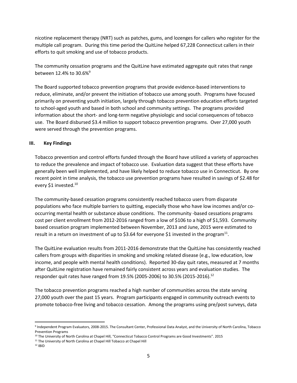nicotine replacement therapy (NRT) such as patches, gums, and lozenges for callers who register for the multiple call program. During this time period the QuitLine helped 67,228 Connecticut callers in their efforts to quit smoking and use of tobacco products.

The community cessation programs and the QuitLine have estimated aggregate quit rates that range between 12.4% to 30.6%<sup>9</sup>

The Board supported tobacco prevention programs that provide evidence-based interventions to reduce, eliminate, and/or prevent the initiation of tobacco use among youth. Programs have focused primarily on preventing youth initiation, largely through tobacco prevention education efforts targeted to school-aged youth and based in both school and community settings. The programs provided information about the short- and long-term negative physiologic and social consequences of tobacco use. The Board disbursed \$3.4 million to support tobacco prevention programs. Over 27,000 youth were served through the prevention programs.

### **III. Key Findings**

Tobacco prevention and control efforts funded through the Board have utilized a variety of approaches to reduce the prevalence and impact of tobacco use. Evaluation data suggest that these efforts have generally been well implemented, and have likely helped to reduce tobacco use in Connecticut. By one recent point in time analysis, the tobacco use prevention programs have resulted in savings of \$2.48 for every \$1 invested.<sup>10</sup>

The community-based cessation programs consistently reached tobacco users from disparate populations who face multiple barriers to quitting, especially those who have low incomes and/or cooccurring mental health or substance abuse conditions. The community -based cessations programs cost per client enrollment from 2012-2016 ranged from a low of \$106 to a high of \$1,593. Community based cessation program implemented between November, 2013 and June, 2015 were estimated to result in a return on investment of up to \$3.64 for everyone \$1 invested in the program<sup>11</sup>.

The QuitLine evaluation results from 2011-2016 demonstrate that the QuitLine has consistently reached callers from groups with disparities in smoking and smoking related disease (e.g., low education, low income, and people with mental health conditions). Reported 30-day quit rates, measured at 7 months after QuitLine registration have remained fairly consistent across years and evaluation studies. The responder quit rates have ranged from 19.5% (2005-2006) to 30.5% (2015-2016).<sup>12</sup>

The tobacco prevention programs reached a high number of communities across the state serving 27,000 youth over the past 15 years. Program participants engaged in community outreach events to promote tobacco-free living and tobacco cessation. Among the programs using pre/post surveys, data

 $\overline{a}$ 

<sup>9</sup> Independent Program Evaluators, 2008-2015. The Consultant Center, Professional Data Analyst, and the University of North Carolina, Tobacco Prevention Programs

<sup>10</sup> The University of North Carolina at Chapel Hill, "Connecticut Tobacco Control Programs are Good Investments". 2015

<sup>&</sup>lt;sup>11</sup> The University of North Carolina at Chapel Hill Tobacco at Chapel Hill

<sup>12</sup> IBID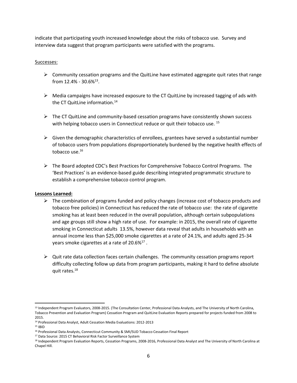indicate that participating youth increased knowledge about the risks of tobacco use. Survey and interview data suggest that program participants were satisfied with the programs.

### Successes:

- $\triangleright$  Community cessation programs and the QuitLine have estimated aggregate quit rates that range from  $12.4\%$  -  $30.6\%$ <sup>13</sup>.
- $\triangleright$  Media campaigns have increased exposure to the CT QuitLine by increased tagging of ads with the CT QuitLine information.<sup>14</sup>
- $\triangleright$  The CT QuitLine and community-based cessation programs have consistently shown success with helping tobacco users in Connecticut reduce or quit their tobacco use. <sup>15</sup>
- $\triangleright$  Given the demographic characteristics of enrollees, grantees have served a substantial number of tobacco users from populations disproportionately burdened by the negative health effects of tobacco use. 16
- $\triangleright$  The Board adopted CDC's Best Practices for Comprehensive Tobacco Control Programs. The 'Best Practices' is an evidence-based guide describing integrated programmatic structure to establish a comprehensive tobacco control program.

#### **Lessons Learned:**

- $\triangleright$  The combination of programs funded and policy changes (increase cost of tobacco products and tobacco free policies) in Connecticut has reduced the rate of tobacco use: the rate of cigarette smoking has at least been reduced in the overall population, although certain subpopulations and age groups still show a high rate of use. For example: in 2015, the overall rate of cigarette smoking in Connecticut adults 13.5%, however data reveal that adults in households with an annual income less than \$25,000 smoke cigarettes at a rate of 24.1%, and adults aged 25-34 years smoke cigarettes at a rate of 20.6% $^{17}$  .
- $\triangleright$  Quit rate data collection faces certain challenges. The community cessation programs report difficulty collecting follow up data from program participants, making it hard to define absolute quit rates.<sup>18</sup>

 $\overline{a}$ 

<sup>&</sup>lt;sup>13</sup> Independent Program Evaluators, 2008-2015. (The Consultation Center, Professional Data Analysts, and The University of North Carolina, Tobacco Prevention and Evaluation Program) Cessation Program and QuitLine Evaluation Reports prepared for projects funded from 2008 to 2015.

<sup>14</sup> Professional Data Analyst, Adult Cessation Media Evaluations: 2012-2013

<sup>15</sup> IBID

<sup>&</sup>lt;sup>16</sup> Professional Data Analysts, Connecticut Community & SMI/SUD Tobacco Cessation Final Report

<sup>17</sup> Data Source: 2015 CT Behavioral Risk Factor Surveillance System

<sup>18</sup> Independent Program Evaluation Reports, Cessation Programs, 2008-2016, Professional Data Analyst and The University of North Carolina at Chapel Hill.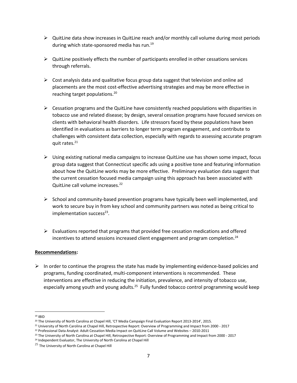- $\triangleright$  QuitLine data show increases in QuitLine reach and/or monthly call volume during most periods during which state-sponsored media has run.<sup>19</sup>
- $\triangleright$  QuitLine positively effects the number of participants enrolled in other cessations services through referrals.
- $\triangleright$  Cost analysis data and qualitative focus group data suggest that television and online ad placements are the most cost-effective advertising strategies and may be more effective in reaching target populations.<sup>20</sup>
- $\triangleright$  Cessation programs and the QuitLine have consistently reached populations with disparities in tobacco use and related disease; by design, several cessation programs have focused services on clients with behavioral health disorders. Life stressors faced by these populations have been identified in evaluations as barriers to longer term program engagement, and contribute to challenges with consistent data collection, especially with regards to assessing accurate program quit rates.<sup>21</sup>
- $\triangleright$  Using existing national media campaigns to increase QuitLine use has shown some impact, focus group data suggest that Connecticut specific ads using a positive tone and featuring information about how the QuitLine works may be more effective. Preliminary evaluation data suggest that the current cessation focused media campaign using this approach has been associated with QuitLine call volume increases.<sup>22</sup>
- $\triangleright$  School and community-based prevention programs have typically been well implemented, and work to secure buy in from key school and community partners was noted as being critical to implementation success<sup>23</sup>.
- $\triangleright$  Evaluations reported that programs that provided free cessation medications and offered incentives to attend sessions increased client engagement and program completion.<sup>24</sup>

### **Recommendations:**

 $\triangleright$  In order to continue the progress the state has made by implementing evidence-based policies and programs, funding coordinated, multi-component interventions is recommended. These interventions are effective in reducing the initiation, prevalence, and intensity of tobacco use, especially among youth and young adults.<sup>25</sup> Fully funded tobacco control programming would keep

l <sup>19</sup> IBID

<sup>&</sup>lt;sup>20</sup> The University of North Carolina at Chapel Hill, 'CT Media Campaign Final Evaluation Report 2013-2014', 2015.

<sup>&</sup>lt;sup>21</sup> University of North Carolina at Chapel Hill, Retrospective Report: Overview of Programming and Impact from 2000 - 2017

<sup>22</sup> Professional Data Analyst: Adult Cessation Media Impact on QuitLine Call Volume and Websites – 2010-2011

<sup>&</sup>lt;sup>23</sup> The University of North Carolina at Chapel Hill, Retrospective Report: Overview of Programming and Impact from 2000 - 2017

<sup>&</sup>lt;sup>24</sup> Independent Evaluator, The University of North Carolina at Chapel Hill

<sup>&</sup>lt;sup>25</sup> The University of North Carolina at Chapel Hill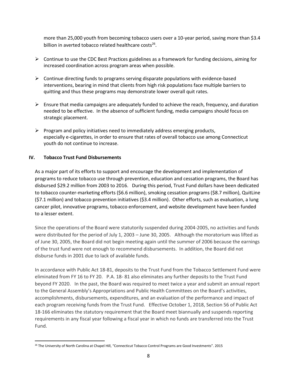more than 25,000 youth from becoming tobacco users over a 10-year period, saving more than \$3.4 billion in averted tobacco related healthcare costs<sup>26</sup>.

- $\triangleright$  Continue to use the CDC Best Practices guidelines as a framework for funding decisions, aiming for increased coordination across program areas when possible.
- $\triangleright$  Continue directing funds to programs serving disparate populations with evidence-based interventions, bearing in mind that clients from high risk populations face multiple barriers to quitting and thus these programs may demonstrate lower overall quit rates.
- $\triangleright$  Ensure that media campaigns are adequately funded to achieve the reach, frequency, and duration needed to be effective. In the absence of sufficient funding, media campaigns should focus on strategic placement.
- $\triangleright$  Program and policy initiatives need to immediately address emerging products, especially e-cigarettes, in order to ensure that rates of overall tobacco use among Connecticut youth do not continue to increase.

# **IV. Tobacco Trust Fund Disbursements**

As a major part of its efforts to support and encourage the development and implementation of programs to reduce tobacco use through prevention, education and cessation programs, the Board has disbursed \$29.2 million from 2003 to 2016. During this period, Trust Fund dollars have been dedicated to tobacco counter-marketing efforts (\$6.6 million), smoking cessation programs (\$8.7 million), QuitLine (\$7.1 million) and tobacco prevention initiatives (\$3.4 million). Other efforts, such as evaluation, a lung cancer pilot, innovative programs, tobacco enforcement, and website development have been funded to a lesser extent.

Since the operations of the Board were statutorily suspended during 2004-2005, no activities and funds were distributed for the period of July 1, 2003 – June 30, 2005. Although the moratorium was lifted as of June 30, 2005, the Board did not begin meeting again until the summer of 2006 because the earnings of the trust fund were not enough to recommend disbursements. In addition, the Board did not disburse funds in 2001 due to lack of available funds.

In accordance with Public Act 18-81, deposits to the Trust Fund from the Tobacco Settlement Fund were eliminated from FY 16 to FY 20. P.A. 18- 81 also eliminates any further deposits to the Trust Fund beyond FY 2020. In the past, the Board was required to meet twice a year and submit an annual report to the General Assembly's Appropriations and Public Health Committees on the Board's activities, accomplishments, disbursements, expenditures, and an evaluation of the performance and impact of each program receiving funds from the Trust Fund. Effective October 1, 2018, Section 56 of Public Act 18-166 eliminates the statutory requirement that the Board meet biannually and suspends reporting requirements in any fiscal year following a fiscal year in which no funds are transferred into the Trust Fund.

l <sup>26</sup> The University of North Carolina at Chapel Hill, "Connecticut Tobacco Control Programs are Good Investments". 2015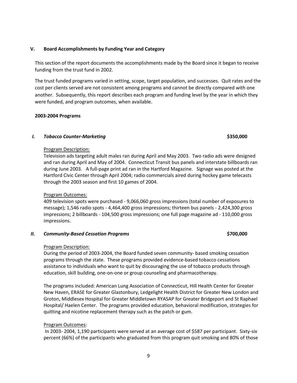## **V. Board Accomplishments by Funding Year and Category**

This section of the report documents the accomplishments made by the Board since it began to receive funding from the trust fund in 2002.

The trust funded programs varied in setting, scope, target population, and successes. Quit rates and the cost per clients served are not consistent among programs and cannot be directly compared with one another. Subsequently, this report describes each program and funding level by the year in which they were funded, and program outcomes, when available.

#### **2003-2004 Programs**

### *I.* **Tobacco Counter-Marketing \$350,000 \$350,000**

#### Program Description:

Television ads targeting adult males ran during April and May 2003. Two radio ads were designed and ran during April and May of 2004. Connecticut Transit bus panels and interstate billboards ran during June 2003. A full-page print ad ran in the Hartford Magazine. Signage was posted at the Hartford Civic Center through April 2004; radio commercials aired during hockey game telecasts through the 2003 season and first 10 games of 2004.

### Program Outcomes:

409 television spots were purchased - 9,066,060 gross impressions (total number of exposures to message); 1,546 radio spots - 4,464,400 gross impressions; thirteen bus panels - 2,424,300 gross impressions; 2 billboards - 104,500 gross impressions; one full page magazine ad - 110,000 gross impressions.

#### *II. Community-Based Cessation Programs* **\$700,000**

#### Program Description:

During the period of 2003-2004, the Board funded seven community- based smoking cessation programs through the state. These programs provided evidence-based tobacco cessations assistance to individuals who want to quit by discouraging the use of tobacco products through education, skill building, one-on-one or group counseling and pharmacotherapy.

The programs included: American Lung Association of Connecticut, Hill Health Center for Greater New Haven, ERASE for Greater Glastonbury, Ledgelight Health District for Greater New London and Groton, Middlesex Hospital for Greater Middletown RYASAP for Greater Bridgeport and St Raphael Hospital/ Haelen Center. The programs provided education, behavioral modification, strategies for quitting and nicotine replacement therapy such as the patch or gum.

### Program Outcomes:

In 2003- 2004, 1,190 participants were served at an average cost of \$587 per participant. Sixty-six percent (66%) of the participants who graduated from this program quit smoking and 80% of those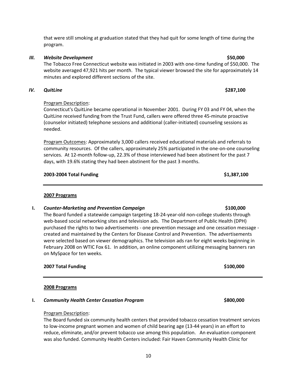that were still smoking at graduation stated that they had quit for some length of time during the program.

# *III. Website Development* **\$50,000**

The Tobacco Free Connecticut website was initiated in 2003 with one-time funding of \$50,000. The website averaged 47,921 hits per month. The typical viewer browsed the site for approximately 14 minutes and explored different sections of the site.

# *IV. QuitLine* **\$287,100**

# Program Description:

Connecticut's QuitLine became operational in November 2001. During FY 03 and FY 04, when the QuitLine received funding from the Trust Fund, callers were offered three 45-minute proactive (counselor initiated) telephone sessions and additional (caller-initiated) counseling sessions as needed.

Program Outcomes: Approximately 3,000 callers received educational materials and referrals to community resources. Of the callers, approximately 25% participated in the one-on-one counseling services. At 12-month follow-up, 22.3% of those interviewed had been abstinent for the past 7 days, with 19.6% stating they had been abstinent for the past 3 months.

### **2003-2004 Total Funding \$1,387,100**

### **2007 Programs**

### **I.** *Counter-Marketing and Prevention Campaign Buyer <b>Election \$100,000*

The Board funded a statewide campaign targeting 18-24-year-old non-college students through web-based social networking sites and television ads. The Department of Public Health (DPH) purchased the rights to two advertisements - one prevention message and one cessation message created and maintained by the Centers for Disease Control and Prevention. The advertisements were selected based on viewer demographics. The television ads ran for eight weeks beginning in February 2008 on WTIC Fox 61. In addition, an online component utilizing messaging banners ran on MySpace for ten weeks.

### **2007 Total Funding \$100,000**

### **2008 Programs**

### **I.** *Community Health Center Cessation Program* **\$800,000**

### Program Description:

The Board funded six community health centers that provided tobacco cessation treatment services to low-income pregnant women and women of child bearing age (13-44 years) in an effort to reduce, eliminate, and/or prevent tobacco use among this population. An evaluation component was also funded. Community Health Centers included: Fair Haven Community Health Clinic for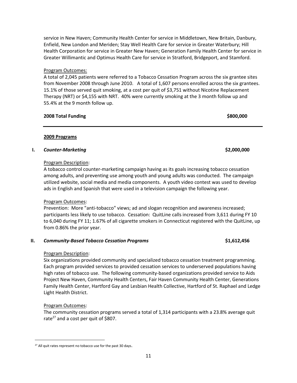service in New Haven; Community Health Center for service in Middletown, New Britain, Danbury, Enfield, New London and Meriden; Stay Well Health Care for service in Greater Waterbury; Hill Health Corporation for service in Greater New Haven; Generation Family Health Center for service in Greater Willimantic and Optimus Health Care for service in Stratford, Bridgeport, and Stamford.

# Program Outcomes:

A total of 2,045 patients were referred to a Tobacco Cessation Program across the six grantee sites from November 2008 through June 2010. A total of 1,607 persons enrolled across the six grantees. 15.1% of those served quit smoking, at a cost per quit of \$3,751 without Nicotine Replacement Therapy (NRT) or \$4,155 with NRT. 40% were currently smoking at the 3 month follow up and 55.4% at the 9 month follow up.

# **2008 Total Funding \$800,000**

# **2009 Programs**

# **I.** *Counter-Marketing* **\$2,000,000**

# Program Description:

A tobacco control counter-marketing campaign having as its goals increasing tobacco cessation among adults, and preventing use among youth and young adults was conducted. The campaign utilized website, social media and media components. A youth video contest was used to develop ads in English and Spanish that were used in a television campaign the following year.

### Program Outcomes:

Prevention: More "anti-tobacco" views; ad and slogan recognition and awareness increased; participants less likely to use tobacco. Cessation: QuitLine calls increased from 3,611 during FY 10 to 6,040 during FY 11; 1.67% of all cigarette smokers in Connecticut registered with the QuitLine, up from 0.86% the prior year.

# **II.** *Community-Based Tobacco Cessation Programs* **\$1,612,456**

# Program Description:

Six organizations provided community and specialized tobacco cessation treatment programming. Each program provided services to provided cessation services to underserved populations having high rates of tobacco use. The following community-based organizations provided service to Aids Project New Haven, Community Health Centers, Fair Haven Community Health Center, Generations Family Health Center, Hartford Gay and Lesbian Health Collective, Hartford of St. Raphael and Ledge Light Health District.

# Program Outcomes:

 $\overline{\phantom{a}}$ 

The community cessation programs served a total of 1,314 participants with a 23.8% average quit rate<sup>27</sup> and a cost per quit of \$807.

<sup>&</sup>lt;sup>27</sup> All quit rates represent no tobacco use for the past 30 days.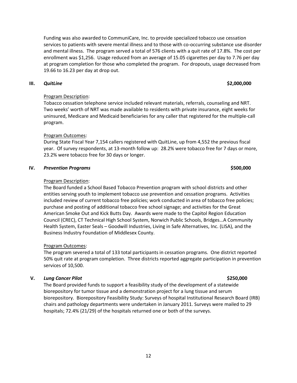12

Funding was also awarded to CommuniCare, Inc. to provide specialized tobacco use cessation services to patients with severe mental illness and to those with co-occurring substance use disorder and mental illness. The program served a total of 576 clients with a quit rate of 17.8%. The cost per enrollment was \$1,256. Usage reduced from an average of 15.05 cigarettes per day to 7.76 per day at program completion for those who completed the program. For dropouts, usage decreased from 19.66 to 16.23 per day at drop out.

# **III.** *QuitLine* **\$2,000,000**

# Program Description:

Tobacco cessation telephone service included relevant materials, referrals, counseling and NRT. Two weeks' worth of NRT was made available to residents with private insurance, eight weeks for uninsured, Medicare and Medicaid beneficiaries for any caller that registered for the multiple-call program.

# Program Outcomes:

During State Fiscal Year 7,154 callers registered with QuitLine, up from 4,552 the previous fiscal year. Of survey respondents, at 13-month follow up: 28.2% were tobacco free for 7 days or more, 23.2% were tobacco free for 30 days or longer.

### **IV.** *Prevention Programs* **\$500,000**

### Program Description:

The Board funded a School Based Tobacco Prevention program with school districts and other entities serving youth to implement tobacco use prevention and cessation programs. Activities included review of current tobacco free policies; work conducted in area of tobacco free policies; purchase and posting of additional tobacco free school signage; and activities for the Great American Smoke Out and Kick Butts Day. Awards were made to the Capitol Region Education Council (CREC), CT Technical High School System, Norwich Public Schools, Bridges…A Community Health System, Easter Seals – Goodwill Industries, Living in Safe Alternatives, Inc. (LISA), and the Business Industry Foundation of Middlesex County.

# Program Outcomes:

The program severed a total of 133 total participants in cessation programs. One district reported 50% quit rate at program completion. Three districts reported aggregate participation in prevention services of 10,500.

# **V.** *Lung Cancer Pilot* **\$250,000**

The Board provided funds to support a feasibility study of the development of a statewide biorepository for tumor tissue and a demonstration project for a lung tissue and serum biorepository. Biorepository Feasibility Study: Surveys of hospital Institutional Research Board (IRB) chairs and pathology departments were undertaken in January 2011. Surveys were mailed to 29 hospitals; 72.4% (21/29) of the hospitals returned one or both of the surveys.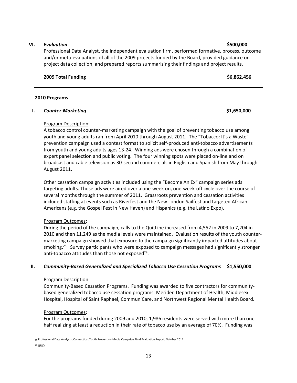### 13

#### **VI.** *Evaluation* **\$500,000**

Professional Data Analyst, the independent evaluation firm, performed formative, process, outcome and/or meta-evaluations of all of the 2009 projects funded by the Board, provided guidance on project data collection, and prepared reports summarizing their findings and project results.

#### **2009 Total Funding \$6,862,456**

#### **2010 Programs**

### **I.** *Counter-Marketing* **\$1,650,000**

### Program Description:

A tobacco control counter-marketing campaign with the goal of preventing tobacco use among youth and young adults ran from April 2010 through August 2011. The "Tobacco: It's a Waste" prevention campaign used a contest format to solicit self-produced anti-tobacco advertisements from youth and young adults ages 13-24. Winning ads were chosen through a combination of expert panel selection and public voting. The four winning spots were placed on-line and on broadcast and cable television as 30-second commercials in English and Spanish from May through August 2011.

Other cessation campaign activities included using the "Become An Ex" campaign series ads targeting adults. Those ads were aired over a one-week on, one-week-off cycle over the course of several months through the summer of 2011. Grassroots prevention and cessation activities included staffing at events such as Riverfest and the New London Sailfest and targeted African Americans (e.g. the Gospel Fest in New Haven) and Hispanics (e.g. the Latino Expo).

### Program Outcomes:

During the period of the campaign, calls to the QuitLine increased from 4,552 in 2009 to 7,204 in 2010 and then 11,249 as the media levels were maintained. Evaluation results of the youth countermarketing campaign showed that exposure to the campaign significantly impacted attitudes about smoking.<sup>28</sup> Survey participants who were exposed to campaign messages had significantly stronger anti-tobacco attitudes than those not exposed<sup>29</sup>.

### **II.** *Community-Based Generalized and Specialized Tobacco Use Cessation Programs* **\$1,550,000**

#### Program Description:

Community-Based Cessation Programs. Funding was awarded to five contractors for communitybased generalized tobacco use cessation programs: Meriden Department of Health, Middlesex Hospital, Hospital of Saint Raphael, CommuniCare, and Northwest Regional Mental Health Board.

### Program Outcomes:

 $\overline{\phantom{a}}$ 

<sup>29</sup> IBID

For the programs funded during 2009 and 2010, 1,986 residents were served with more than one half realizing at least a reduction in their rate of tobacco use by an average of 70%. Funding was

<sup>28</sup> Professional Data Analysts, Connecticut Youth Prevention Media Campaign Final Evaluation Report, October 2011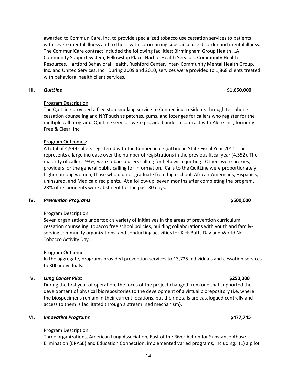awarded to CommuniCare, Inc. to provide specialized tobacco use cessation services to patients with severe mental illness and to those with co-occurring substance use disorder and mental illness. The CommuniCare contract included the following facilities: Birmingham Group Health …A Community Support System, Fellowship Place, Harbor Health Services, Community Health Resources, Hartford Behavioral Health, Rushford Center, Inter- Community Mental Health Group, Inc. and United Services, Inc. During 2009 and 2010, services were provided to 1,868 clients treated with behavioral health client services.

#### **III.** *QuitLine* **\$1,650,000**

# Program Description:

The QuitLine provided a free stop smoking service to Connecticut residents through telephone cessation counseling and NRT such as patches, gums, and lozenges for callers who register for the multiple call program. QuitLine services were provided under a contract with Alere Inc., formerly Free & Clear, Inc.

### Program Outcomes:

A total of 4,599 callers registered with the Connecticut QuitLine in State Fiscal Year 2011. This represents a large increase over the number of registrations in the previous fiscal year (4,552). The majority of callers, 93%, were tobacco users calling for help with quitting. Others were proxies, providers, or the general public calling for information. Calls to the QuitLine were proportionately higher among women, those who did not graduate from high school, African-Americans, Hispanics, uninsured, and Medicaid recipients. At a follow-up, seven months after completing the program, 28% of respondents were abstinent for the past 30 days.

### **IV.** *Prevention Programs* **\$500,000**

### Program Description:

Seven organizations undertook a variety of initiatives in the areas of prevention curriculum, cessation counseling, tobacco free school policies, building collaborations with youth and familyserving community organizations, and conducting activities for Kick Butts Day and World No Tobacco Activity Day.

### Program Outcome:

In the aggregate, programs provided prevention services to 13,725 individuals and cessation services to 300 individuals.

### **V.** *Lung Cancer Pilot* **\$250,000**

During the first year of operation, the focus of the project changed from one that supported the development of physical biorepositories to the development of a virtual biorepository (i.e. where the biospecimens remain in their current locations, but their details are catalogued centrally and access to them is facilitated through a streamlined mechanism).

### **VI.** *Innovative Programs* **\$477,745**

### Program Description:

Three organizations, American Lung Association, East of the River Action for Substance Abuse Elimination (ERASE) and Education Connection, implemented varied programs, including: (1) a pilot

### 14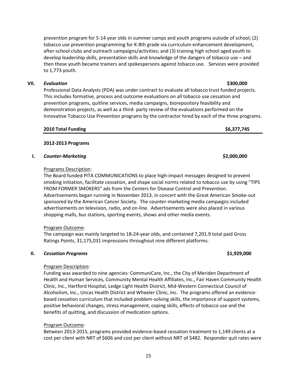15

prevention program for 5-14 year olds in summer camps and youth programs outside of school; (2) tobacco use prevention programming for K-8th grade via curriculum enhancement development, after-school clubs and outreach campaigns/activities; and (3) training high school aged youth to develop leadership skills, presentation skills and knowledge of the dangers of tobacco use – and then these youth became trainers and spokespersons against tobacco use. Services were provided to 1,773 youth.

# **VII.** *Evaluation* **\$300,000**

Professional Data Analysts (PDA) was under contract to evaluate all tobacco trust funded projects. This includes formative, process and outcome evaluations on all tobacco use cessation and prevention programs, quitline services, media campaigns, biorepository feasibility and demonstration projects, as well as a third- party review of the evaluations performed on the Innovative Tobacco Use Prevention programs by the contractor hired by each of the three programs.

| 2010 Total Funding | \$6,377,745 |
|--------------------|-------------|
|                    |             |

### **2012-2013 Programs**

### **I.** *Counter-Marketing* **\$2,000,000**

# Programs Description:

The Board funded PITA COMMUNICATIONS to place high-impact messages designed to prevent smoking initiation, facilitate cessation, and shape social norms related to tobacco use by using "TIPS FROM FORMER SMOKERS" ads from the Centers for Disease Control and Prevention. Advertisements began running in November 2013, in concert with the Great American Smoke-out sponsored by the American Cancer Society. The counter-marketing media campaigns included advertisements on television, radio, and on-line. Advertisements were also placed in various shopping malls, bus stations, sporting events, shows and other media events.

# Program Outcome:

The campaign was mainly targeted to 18-24-year olds, and contained 7,201.9 total paid Gross Ratings Points, 31,175,031 impressions throughout nine different platforms.

### **II.** *Cessation Programs* **\$1,929,000**

# Program Description:

Funding was awarded to nine agencies: CommuniCare, Inc., the City of Meriden Department of Health and Human Services, Community Mental Health Affiliates, Inc., Fair Haven Community Health Clinic, Inc., Hartford Hospital, Ledge Light Health District, Mid-Western Connecticut Council of Alcoholism, Inc., Uncas Health District and Wheeler Clinic, Inc. The programs offered an evidencebased cessation curriculum that included problem-solving skills, the importance of support systems, positive behavioral changes, stress management, coping skills, effects of tobacco use and the benefits of quitting, and discussion of medication options.

# Program Outcome:

Between 2013-2015, programs provided evidence-based cessation treatment to 1,149 clients at a cost per client with NRT of \$606 and cost per client without NRT of \$482. Responder quit rates were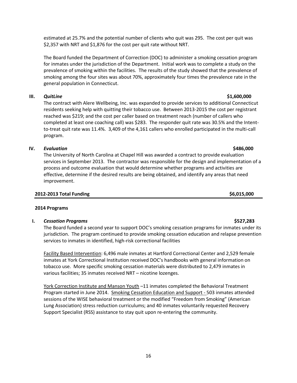estimated at 25.7% and the potential number of clients who quit was 295. The cost per quit was \$2,357 with NRT and \$1,876 for the cost per quit rate without NRT.

The Board funded the Department of Correction (DOC) to administer a smoking cessation program for inmates under the jurisdiction of the Department. Initial work was to complete a study on the prevalence of smoking within the facilities. The results of the study showed that the prevalence of smoking among the four sites was about 70%, approximately four times the prevalence rate in the general population in Connecticut.

# **III.** *QuitLine* **\$1,600,000**

The contract with Alere Wellbeing, Inc. was expanded to provide services to additional Connecticut residents seeking help with quitting their tobacco use. Between 2013-2015 the cost per registrant reached was \$219; and the cost per caller based on treatment reach (number of callers who completed at least one coaching call) was \$283. The responder quit rate was 30.5% and the Intentto-treat quit rate was 11.4%. 3,409 of the 4,161 callers who enrolled participated in the multi-call program.

# **IV.** *Evaluation* **\$486,000**

The University of North Carolina at Chapel Hill was awarded a contract to provide evaluation services in September 2013. The contractor was responsible for the design and implementation of a process and outcome evaluation that would determine whether programs and activities are effective, determine if the desired results are being obtained, and identify any areas that need improvement.

### **2012-2013 Total Funding \$6,015,000**

### **2014 Programs**

### **I.** *Cessation Programs* **\$527,283**

The Board funded a second year to support DOC's smoking cessation programs for inmates under its jurisdiction. The program continued to provide smoking cessation education and relapse prevention services to inmates in identified, high-risk correctional facilities

Facility Based Intervention: 6,496 male inmates at Hartford Correctional Center and 2,529 female inmates at York Correctional Institution received DOC's handbooks with general information on tobacco use. More specific smoking cessation materials were distributed to 2,479 inmates in various facilities; 35 inmates received NRT – nicotine lozenges.

York Correction Institute and Manson Youth -11 inmates completed the Behavioral Treatment Program started in June 2014. Smoking Cessation Education and Support - 503 inmates attended sessions of the WISE behavioral treatment or the modified "Freedom from Smoking" (American Lung Association) stress reduction curriculums; and 40 inmates voluntarily requested Recovery Support Specialist (RSS) assistance to stay quit upon re-entering the community.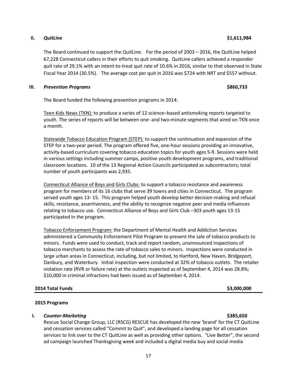17

# **II.** *QuitLine* **\$1,611,984**

The Board continued to support the QuitLine. For the period of 2003 – 2016, the QuitLine helped 67,228 Connecticut callers in their efforts to quit smoking. QuitLine callers achieved a responder quit rate of 29.1% with an intent-to-treat quit rate of 10.6% in 2016, similar to that observed in State Fiscal Year 2014 (30.5%). The average cost per quit in 2016 was \$724 with NRT and \$557 without.

# **III.** *Prevention Programs* **\$860,733**

The Board funded the following prevention programs in 2014:

Teen Kids News (TKN): to produce a series of 12 science–based antismoking reports targeted to youth. The series of reports will be between one- and two-minute segments that aired on TKN once a month.

Statewide Tobacco Education Program (STEP): to support the continuation and expansion of the STEP for a two-year period. The program offered five, one-hour sessions providing an innovative, activity-based curriculum covering tobacco education topics for youth ages 5-9. Sessions were held in various settings including summer camps, positive youth development programs, and traditional classroom locations. 10 of the 13 Regional Action Councils participated as subcontractors; total number of youth participants was 2,935.

Connecticut Alliance of Boys and Girls Clubs: to support a tobacco resistance and awareness program for members of its 16 clubs that serve 39 towns and cities in Connecticut. The program served youth ages 13- 15. This program helped youth develop better decision-making and refusal skills, resistance, assertiveness, and the ability to recognize negative peer and media influences relating to tobacco use. Connecticut Alliance of Boys and Girls Club –303 youth ages 13-15 participated in the program.

Tobacco Enforcement Program: the Department of Mental Health and Addiction Services administered a Community Enforcement Pilot Program to prevent the sale of tobacco products to minors. Funds were used to conduct, track and report random, unannounced inspections of tobacco merchants to assess the rate of tobacco sales to minors. Inspections were conducted in large urban areas in Connecticut, including, but not limited, to Hartford, New Haven, Bridgeport, Danbury, and Waterbury. Initial inspection were conducted at 32% of tobacco outlets. The retailer violation rate (RVR or failure rate) at the outlets inspected as of September 4, 2014 was 28.8%; \$10,000 in criminal infractions had been issued as of September 4, 2014.

# **2014 Total Funds \$3,000,000**

# **2015 Programs**

# **I.** *Counter-Marketing* **\$385,650**

Rescue Social Change Group, LLC (RSCG) RESCUE has developed the new 'brand' for the CT QuitLine and cessation services called "Commit to Quit", and developed a landing page for all cessation services to link over to the CT QuitLine as well as providing other options. "Live Better", the second ad campaign launched Thanksgiving week and included a digital media buy and social media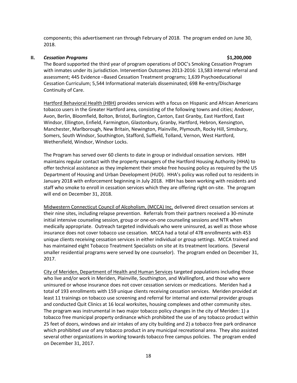components; this advertisement ran through February of 2018. The program ended on June 30, 2018.

#### **II.** *Cessation Programs* **\$1,200,000**

The Board supported the third year of program operations of DOC's Smoking Cessation Program with inmates under its jurisdiction. Intervention Outcomes 2013-2016: 13,583 internal referral and assessment; 445 Evidence –Based Cessation Treatment programs; 1,639 Psychoeducational Cessation Curriculum; 5,544 Informational materials disseminated; 698 Re-entry/Discharge Continuity of Care.

Hartford Behavioral Health (HBH) provides services with a focus on Hispanic and African Americans tobacco users in the Greater Hartford area, consisting of the following towns and cities; Andover, Avon, Berlin, Bloomfield, Bolton, Bristol, Burlington, Canton, East Granby, East Hartford, East Windsor, Ellington, Enfield, Farmington, Glastonbury, Granby, Hartford, Hebron, Kensington, Manchester, Marlborough, New Britain, Newington, Plainville, Plymouth, Rocky Hill, Simsbury, Somers, South Windsor, Southington, Stafford, Suffield, Tolland, Vernon, West Hartford, Wethersfield, Windsor, Windsor Locks.

The Program has served over 60 clients to date in group or individual cessation services. HBH maintains regular contact with the property managers of the Hartford Housing Authority (HHA) to offer technical assistance as they implement their smoke free housing policy as required by the US Department of Housing and Urban Development (HUD). HHA's policy was rolled out to residents in January 2018 with enforcement beginning in July 2018. HBH has been working with residents and staff who smoke to enroll in cessation services which they are offering right on-site. The program will end on December 31, 2018.

Midwestern Connecticut Council of Alcoholism, (MCCA) Inc. delivered direct cessation services at their nine sites, including relapse prevention. Referrals from their partners received a 30-minute initial intensive counseling session, group or one-on-one counseling sessions and NTR when medically appropriate. Outreach targeted individuals who were uninsured, as well as those whose insurance does not cover tobacco use cessation. MCCA had a total of 478 enrollments with 453 unique clients receiving cessation services in either individual or group settings. MCCA trained and has maintained eight Tobacco Treatment Specialists on site at its treatment locations. (Several smaller residential programs were served by one counselor). The program ended on December 31, 2017.

City of Meriden, Department of Health and Human Services targeted populations including those who live and/or work in Meriden, Plainville, Southington, and Wallingford, and those who were uninsured or whose insurance does not cover cessation services or medications. Meriden had a total of 193 enrollments with 159 unique clients receiving cessation services. Meriden provided at least 11 trainings on tobacco use screening and referral for internal and external provider groups and conducted Quit Clinics at 16 local worksites, housing complexes and other community sites. The program was instrumental in two major tobacco policy changes in the city of Meriden: 1) a tobacco free municipal property ordinance which prohibited the use of any tobacco product within 25 feet of doors, windows and air intakes of any city building and 2) a tobacco free park ordinance which prohibited use of any tobacco product in any municipal recreational area. They also assisted several other organizations in working towards tobacco free campus policies. The program ended on December 31, 2017.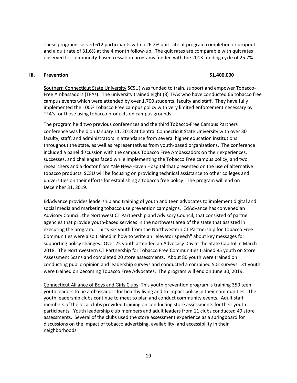These programs served 612 participants with a 26.2% quit rate at program completion or dropout and a quit rate of 31.6% at the 4 month follow-up. The quit rates are comparable with quit rates observed for community-based cessation programs funded with the 2013 funding cycle of 25.7%.

#### **III. Prevention \$1,400,000**

Southern Connecticut State University SCSU) was funded to train, support and empower Tobacco-Free Ambassadors (TFAs). The university trained eight (8) TFAs who have conducted 66 tobacco free campus events which were attended by over 1,700 students, faculty and staff. They have fully implemented the 100% Tobacco Free campus policy with very limited enforcement necessary by TFA's for those using tobacco products on campus grounds.

The program held two previous conferences and the third Tobacco-Free Campus Partners conference was held on January 11, 2018 at Central Connecticut State University with over 30 faculty, staff, and administrators in attendance from several higher education institutions throughout the state, as well as representatives from youth-based organizations. The conference included a panel discussion with the campus Tobacco Free Ambassadors on their experiences, successes, and challenges faced while implementing the Tobacco Free campus policy; and two researchers and a doctor from Yale New-Haven Hospital that presented on the use of alternative tobacco products. SCSU will be focusing on providing technical assistance to other colleges and universities on their efforts for establishing a tobacco free policy. The program will end on December 31, 2019.

EdAdvance provides leadership and training of youth and teen advocates to implement digital and social media and marketing tobacco use prevention campaigns. EdAdvance has convened an Advisory Council, the Northwest CT Partnership and Advisory Council, that consisted of partner agencies that provide youth-based services in the northwest area of the state that assisted in executing the program. Thirty-six youth from the Northwestern CT Partnership for Tobacco Free Communities were also trained in how to write an "elevator speech" about key messages for supporting policy changes. Over 25 youth attended an Advocacy Day at the State Capitol in March 2018. The Northwestern CT Partnership for Tobacco Free Communities trained 85 youth on Store Assessment Scans and completed 20 store assessments. About 80 youth were trained on conducting public opinion and leadership surveys and conducted a combined 502 surveys. 31 youth were trained on becoming Tobacco Free Advocates. The program will end on June 30, 2019.

Connecticut Alliance of Boys and Girls Clubs. This youth prevention program is training 350 teen youth leaders to be ambassadors for healthy living and to impact policy in their communities. The youth leadership clubs continue to meet to plan and conduct community events. Adult staff members of the local clubs provided training on conducting store assessments for their youth participants. Youth leadership club members and adult leaders from 11 clubs conducted 49 store assessments. Several of the clubs used the store assessment experience as a springboard for discussions on the impact of tobacco advertising, availability, and accessibility in their neighborhoods.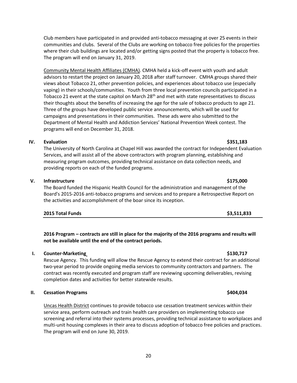Club members have participated in and provided anti-tobacco messaging at over 25 events in their communities and clubs. Several of the Clubs are working on tobacco free policies for the properties where their club buildings are located and/or getting signs posted that the property is tobacco free. The program will end on January 31, 2019.

Community Mental Health Affiliates (CMHA). CMHA held a kick-off event with youth and adult advisors to restart the project on January 20, 2018 after staff turnover. CMHA groups shared their views about Tobacco 21, other prevention policies, and experiences about tobacco use (especially vaping) in their schools/communities. Youth from three local prevention councils participated in a Tobacco 21 event at the state capitol on March  $28<sup>th</sup>$  and met with state representatives to discuss their thoughts about the benefits of increasing the age for the sale of tobacco products to age 21. Three of the groups have developed public service announcements, which will be used for campaigns and presentations in their communities. These ads were also submitted to the Department of Mental Health and Addiction Services' National Prevention Week contest. The programs will end on December 31, 2018.

#### **IV. Evaluation \$351,183**

The University of North Carolina at Chapel Hill was awarded the contract for Independent Evaluation Services, and will assist all of the above contractors with program planning, establishing and measuring program outcomes, providing technical assistance on data collection needs, and providing reports on each of the funded programs.

#### **V. Infrastructure \$175,000**

The Board funded the Hispanic Health Council for the administration and management of the Board's 2015-2016 anti-tobacco programs and services and to prepare a Retrospective Report on the activities and accomplishment of the boar since its inception.

| 2015 Total Funds | \$3,511,833 |
|------------------|-------------|
|                  |             |

**2016 Program – contracts are still in place for the majority of the 2016 programs and results will not be available until the end of the contract periods.**

#### **I. Counter-Marketing \$130,717**

Rescue Agency. This funding will allow the Rescue Agency to extend their contract for an additional two-year period to provide ongoing media services to community contractors and partners. The contract was recently executed and program staff are reviewing upcoming deliverables, revising completion dates and activities for better statewide results.

### **II. Cessation Programs \$404,034**

Uncas Health District continues to provide tobacco use cessation treatment services within their service area, perform outreach and train health care providers on implementing tobacco use screening and referral into their systems processes, providing technical assistance to workplaces and multi-unit housing complexes in their area to discuss adoption of tobacco free policies and practices. The program will end on June 30, 2019.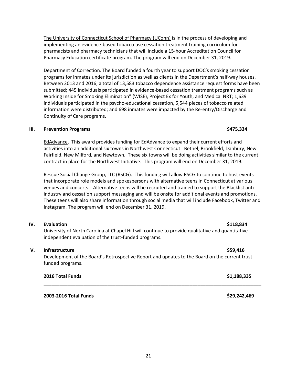The University of Connecticut School of Pharmacy (UConn) is in the process of developing and implementing an evidence-based tobacco use cessation treatment training curriculum for pharmacists and pharmacy technicians that will include a 15-hour Accreditation Council for Pharmacy Education certificate program. The program will end on December 31, 2019.

Department of Correction. The Board funded a fourth year to support DOC's smoking cessation programs for inmates under its jurisdiction as well as clients in the Department's half-way houses. Between 2013 and 2016, a total of 13,583 tobacco dependence assistance request forms have been submitted; 445 individuals participated in evidence-based cessation treatment programs such as Working Inside for Smoking Elimination" (WISE), Project Ex for Youth, and Medical NRT; 1,639 individuals participated in the psycho-educational cessation, 5,544 pieces of tobacco related information were distributed; and 698 inmates were impacted by the Re-entry/Discharge and Continuity of Care programs.

#### **III. Prevention Programs \$475,334**

EdAdvance. This award provides funding for EdAdvance to expand their current efforts and activities into an additional six towns in Northwest Connecticut: Bethel, Brookfield, Danbury, New Fairfield, New Milford, and Newtown. These six towns will be doing activities similar to the current contract in place for the Northwest Initiative. This program will end on December 31, 2019.

Rescue Social Change Group, LLC (RSCG). This funding will allow RSCG to continue to host events that incorporate role models and spokespersons with alternative teens in Connecticut at various venues and concerts. Alternative teens will be recruited and trained to support the Blacklist antiindustry and cessation support messaging and will be onsite for additional events and promotions. These teens will also share information through social media that will include Facebook, Twitter and Instagram. The program will end on December 31, 2019.

# **IV. Evaluation \$118,834**

University of North Carolina at Chapel Hill will continue to provide qualitative and quantitative independent evaluation of the trust-funded programs.

### **V. Infrastructure \$59,416**

Development of the Board's Retrospective Report and updates to the Board on the current trust funded programs.

| 2016 Total Funds | \$1,188,335 |
|------------------|-------------|
|                  |             |

**2003-2016 Total Funds \$29,242,469**